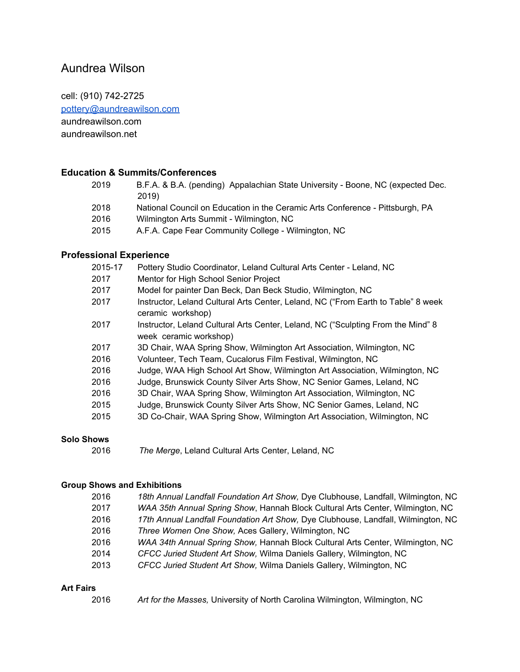# Aundrea Wilson

cell: (910) 742-2725 [pottery@aundreawilson.com](mailto:pottery@aundreawilson.com) aundreawilson.com aundreawilson.net

# **Education & Summits/Conferences**

| 2019 | B.F.A. & B.A. (pending) Appalachian State University - Boone, NC (expected Dec. |
|------|---------------------------------------------------------------------------------|
|      | 2019)                                                                           |
| 2018 | National Council on Education in the Ceramic Arts Conference - Pittsburgh, PA   |

- Wilmington Arts Summit Wilmington, NC
- A.F.A. Cape Fear Community College Wilmington, NC

#### **Professional Experience**

| 2015-17 | Pottery Studio Coordinator, Leland Cultural Arts Center - Leland, NC                                       |
|---------|------------------------------------------------------------------------------------------------------------|
| 2017    | Mentor for High School Senior Project                                                                      |
| 2017    | Model for painter Dan Beck, Dan Beck Studio, Wilmington, NC                                                |
| 2017    | Instructor, Leland Cultural Arts Center, Leland, NC ("From Earth to Table" 8 week<br>ceramic workshop)     |
| 2017    | Instructor, Leland Cultural Arts Center, Leland, NC ("Sculpting From the Mind" 8<br>week ceramic workshop) |
| 2017    | 3D Chair, WAA Spring Show, Wilmington Art Association, Wilmington, NC                                      |
| 2016    | Volunteer, Tech Team, Cucalorus Film Festival, Wilmington, NC                                              |
| 2016    | Judge, WAA High School Art Show, Wilmington Art Association, Wilmington, NC                                |
| 2016    | Judge, Brunswick County Silver Arts Show, NC Senior Games, Leland, NC                                      |
| 2016    | 3D Chair, WAA Spring Show, Wilmington Art Association, Wilmington, NC                                      |
| 2015    | Judge, Brunswick County Silver Arts Show, NC Senior Games, Leland, NC                                      |
| 2015    | 3D Co-Chair, WAA Spring Show, Wilmington Art Association, Wilmington, NC                                   |

# **Solo Shows**

*The Merge*, Leland Cultural Arts Center, Leland, NC

#### **Group Shows and Exhibitions**

| 2016 | 18th Annual Landfall Foundation Art Show, Dye Clubhouse, Landfall, Wilmington, NC |
|------|-----------------------------------------------------------------------------------|
| 2017 | WAA 35th Annual Spring Show, Hannah Block Cultural Arts Center, Wilmington, NC    |
|      |                                                                                   |

- *17th Annual Landfall Foundation Art Show,* Dye Clubhouse, Landfall, Wilmington, NC *Three Women One Show,* Aces Gallery, Wilmington, NC
- *WAA 34th Annual Spring Show,* Hannah Block Cultural Arts Center, Wilmington, NC
- *CFCC Juried Student Art Show,* Wilma Daniels Gallery, Wilmington, NC
- *CFCC Juried Student Art Show,* Wilma Daniels Gallery, Wilmington, NC

### **Art Fairs**

*Art for the Masses,* University of North Carolina Wilmington, Wilmington, NC